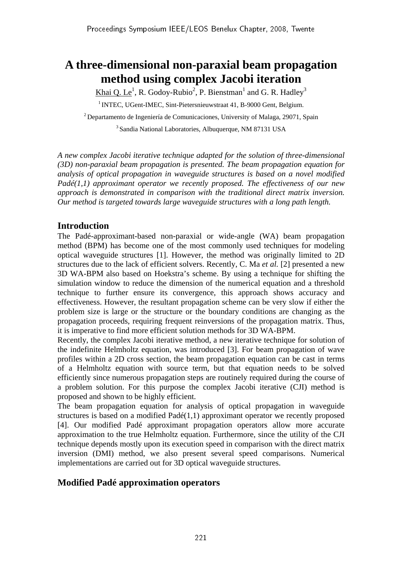# **A three-dimensional non-paraxial beam propagation method using complex Jacobi iteration**

Khai Q. Le<sup>1</sup>, R. Godoy-Rubio<sup>2</sup>, P. Bienstman<sup>1</sup> and G. R. Hadley<sup>3</sup>

<sup>1</sup> INTEC, UGent-IMEC, Sint-Pietersnieuwstraat 41, B-9000 Gent, Belgium.

2 Departamento de Ingeniería de Comunicaciones, University of Malaga, 29071, Spain

3 Sandia National Laboratories, Albuquerque, NM 87131 USA

*A new complex Jacobi iterative technique adapted for the solution of three-dimensional (3D) non-paraxial beam propagation is presented. The beam propagation equation for analysis of optical propagation in waveguide structures is based on a novel modified Padé(1,1) approximant operator we recently proposed. The effectiveness of our new approach is demonstrated in comparison with the traditional direct matrix inversion. Our method is targeted towards large waveguide structures with a long path length.* 

# **Introduction**

The Padé-approximant-based non-paraxial or wide-angle (WA) beam propagation method (BPM) has become one of the most commonly used techniques for modeling optical waveguide structures [1]. However, the method was originally limited to 2D structures due to the lack of efficient solvers. Recently, C. Ma *et al.* [2] presented a new 3D WA-BPM also based on Hoekstra's scheme. By using a technique for shifting the simulation window to reduce the dimension of the numerical equation and a threshold technique to further ensure its convergence, this approach shows accuracy and effectiveness. However, the resultant propagation scheme can be very slow if either the problem size is large or the structure or the boundary conditions are changing as the propagation proceeds, requiring frequent reinversions of the propagation matrix. Thus, it is imperative to find more efficient solution methods for 3D WA-BPM.

Recently, the complex Jacobi iterative method, a new iterative technique for solution of the indefinite Helmholtz equation, was introduced [3]. For beam propagation of wave profiles within a 2D cross section, the beam propagation equation can be cast in terms of a Helmholtz equation with source term, but that equation needs to be solved efficiently since numerous propagation steps are routinely required during the course of a problem solution. For this purpose the complex Jacobi iterative (CJI) method is proposed and shown to be highly efficient.

The beam propagation equation for analysis of optical propagation in waveguide structures is based on a modified Padé(1,1) approximant operator we recently proposed [4]. Our modified Padé approximant propagation operators allow more accurate approximation to the true Helmholtz equation. Furthermore, since the utility of the CJI technique depends mostly upon its execution speed in comparison with the direct matrix inversion (DMI) method, we also present several speed comparisons. Numerical implementations are carried out for 3D optical waveguide structures.

# **Modified Padé approximation operators**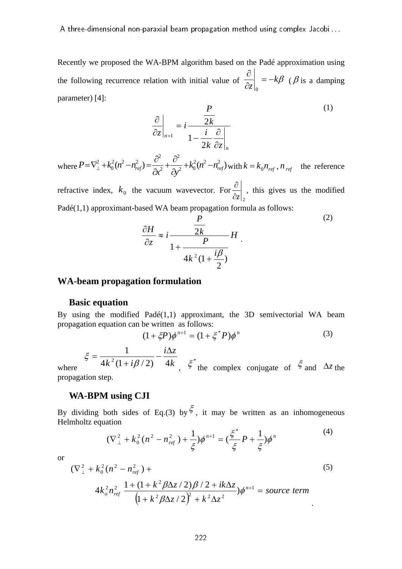A three-dimensional non-paraxial beam propagation method using complex Jacobi . . .

Recently we proposed the WA-BPM algorithm based on the Padé approximation using the following recurrence relation with initial value of  $\frac{\partial}{\partial z}\Big|_0 = -k\beta$ ∂ 0 ( $\beta$  is a damping parameter) [4]:

$$
\frac{\partial}{\partial z}\bigg|_{n+1} = i \frac{\frac{P}{2k}}{1 - \frac{i}{2k} \frac{\partial}{\partial z}\bigg|_{n}}
$$
\n(1)

where  $P = \nabla_{\perp}^2 + k_0^2 (n^2 - n_{ref}^2) = \frac{U}{\partial x^2} + \frac{U}{\partial y^2} + k_0^2 (n^2 - n_{ref}^2)$  $\overline{2}$ 2  $\overline{2}$  $^{2}(n^{2} - n^{2})$  $\bf{0}$  $\frac{d^2}{dt^2} + k_0^2 (n^2 - n_{ref}^2) = \frac{C}{2a^2} + \frac{C}{2a^2} + k_0^2 (n^2 - n_{ref}^2)$  $P = \nabla_{\perp}^2 + k_0^2 (n^2 - n_{ref}^2) = \frac{\partial}{\partial x^2} + \frac{\partial}{\partial y^2} + k_0^2 (n^2 - n_{ref}^2)$ ∂ +  $=\nabla_{\perp}^2 + k_0^2 (n^2 - n_{ref}^2) = \frac{\partial^2}{\partial x^2} + \frac{\partial^2}{\partial y^2} + k_0^2 (n^2 - n_{ref}^2)$  with  $k = k_0 n_{ref}$ ,  $n_{ref}$  the reference

refractive index,  $k_0$  the vacuum wavevector. For  $\partial z\big|_2$  $\frac{\partial}{\partial z}$ , this gives us the modified Padé(1,1) approximant-based WA beam propagation formula as follows:

$$
\frac{\partial H}{\partial z} \approx i \frac{\frac{P}{2k}}{1 + \frac{P}{4k^2(1 + \frac{i\beta}{2})}} H
$$
 (2)

## **WA-beam propagation formulation**

1

#### **Basic equation**

By using the modified Padé(1,1) approximant, the 3D semivectorial WA beam propagation equation can be written as follows:

$$
(1 + \xi P)\phi^{n+1} = (1 + \xi^* P)\phi^n
$$
 (3)

where  $4k^2(1+i\beta/2)$  4k  $4k^2(1+i\beta/2)$  4  $\zeta = \frac{1}{4k^2(1+i\beta/2)} - \frac{i\Delta z}{4k}$ ,  $\zeta^*$  the complex conjugate of  $\zeta$  and  $\Delta z$  the propagation step.

 $i\Delta z$ 

#### **WA-BPM using CJI**

By dividing both sides of Eq.(3) by  $\zeta$ , it may be written as an inhomogeneous Helmholtz equation

$$
(\nabla_{\perp}^2 + k_0^2 (n^2 - n_{\text{ref}}^2) + \frac{1}{\xi})\phi^{n+1} = (\frac{\xi^*}{\xi}P + \frac{1}{\xi})\phi^n
$$
 (4)

or

$$
(\nabla_{\perp}^{2} + k_{0}^{2} (n^{2} - n_{ref}^{2}) +
$$
  
\n
$$
4k_{o}^{2} n_{ref}^{2} \frac{1 + (1 + k^{2} \beta \Delta z / 2) \beta / 2 + ik \Delta z}{(1 + k^{2} \beta \Delta z / 2)^{2} + k^{2} \Delta z^{2}}) \phi^{n+1} = source \ term
$$
\n(5)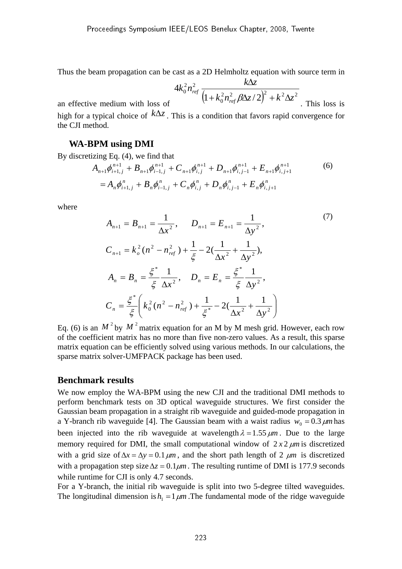Thus the beam propagation can be cast as a 2D Helmholtz equation with source term in

$$
4k_0^2 n_{ref}^2 \frac{k\Delta z}{\left(1 + k_0^2 n_{ref}^2 \beta \Delta z / 2\right)^2 + k^2 \Delta z^2}
$$
. This loss is

an effective medium with loss of

high for a typical choice of  $k\Delta z$ . This is a condition that favors rapid convergence for the CJI method.

#### **WA-BPM using DMI**

By discretizing Eq. (4), we find that

$$
A_{n+1}\phi_{i+1,j}^{n+1} + B_{n+1}\phi_{i-1,j}^{n+1} + C_{n+1}\phi_{i,j}^{n+1} + D_{n+1}\phi_{i,j-1}^{n+1} + E_{n+1}\phi_{i,j+1}^{n+1}
$$
  
=  $A_n\phi_{i+1,j}^n + B_n\phi_{i-1,j}^n + C_n\phi_{i,j}^n + D_n\phi_{i,j-1}^n + E_n\phi_{i,j+1}^n$  (6)

where

$$
A_{n+1} = B_{n+1} = \frac{1}{\Delta x^2}, \qquad D_{n+1} = E_{n+1} = \frac{1}{\Delta y^2},
$$
  
\n
$$
C_{n+1} = k_o^2 (n^2 - n_{ref}^2) + \frac{1}{\xi} - 2(\frac{1}{\Delta x^2} + \frac{1}{\Delta y^2}),
$$
  
\n
$$
A_n = B_n = \frac{\xi^*}{\xi} \frac{1}{\Delta x^2}, \qquad D_n = E_n = \frac{\xi^*}{\xi} \frac{1}{\Delta y^2},
$$
  
\n
$$
C_n = \frac{\xi^*}{\xi} \left( k_0^2 (n^2 - n_{ref}^2) + \frac{1}{\xi^*} - 2(\frac{1}{\Delta x^2} + \frac{1}{\Delta y^2}) \right)
$$
 (7)

Eq. (6) is an  $M^2$  by  $M^2$  matrix equation for an M by M mesh grid. However, each row of the coefficient matrix has no more than five non-zero values. As a result, this sparse matrix equation can be efficiently solved using various methods. In our calculations, the sparse matrix solver-UMFPACK package has been used.

#### **Benchmark results**

We now employ the WA-BPM using the new CJI and the traditional DMI methods to perform benchmark tests on 3D optical waveguide structures. We first consider the Gaussian beam propagation in a straight rib waveguide and guided-mode propagation in a Y-branch rib waveguide [4]. The Gaussian beam with a waist radius  $w_0 = 0.3 \ \mu m$  has been injected into the rib waveguide at wavelength  $\lambda = 1.55 \ \mu m$ . Due to the large memory required for DMI, the small computational window of  $2x2 \mu m$  is discretized with a grid size of  $\Delta x = \Delta y = 0.1 \mu m$ , and the short path length of 2  $\mu$ m is discretized with a propagation step size  $\Delta z = 0.1 \mu m$ . The resulting runtime of DMI is 177.9 seconds while runtime for CJI is only 4.7 seconds.

For a Y-branch, the initial rib waveguide is split into two 5-degree tilted waveguides. The longitudinal dimension is  $h_1 = 1 \mu m$ . The fundamental mode of the ridge waveguide